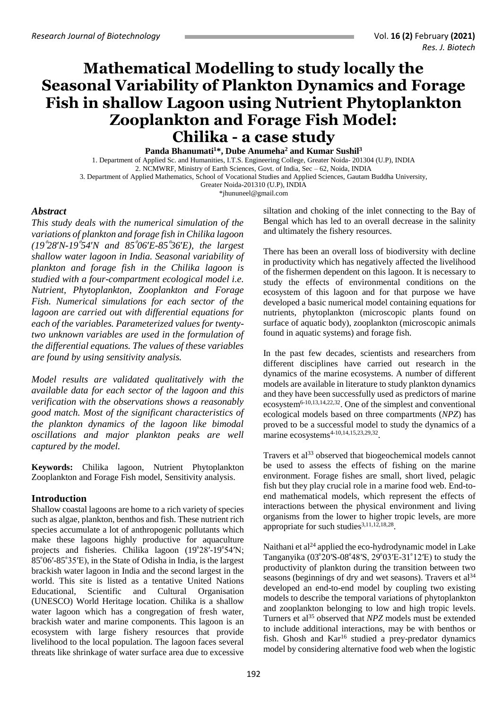# **Mathematical Modelling to study locally the Seasonal Variability of Plankton Dynamics and Forage Fish in shallow Lagoon using Nutrient Phytoplankton Zooplankton and Forage Fish Model: Chilika - a case study**

**Panda Bhanumati<sup>1</sup>\*, Dube Anumeha<sup>2</sup> and Kumar Sushil<sup>3</sup>**

1. Department of Applied Sc. and Humanities, I.T.S. Engineering College, Greater Noida- 201304 (U.P), INDIA 2. NCMWRF, Ministry of Earth Sciences, Govt. of India, Sec – 62, Noida, INDIA

3. Department of Applied Mathematics, School of Vocational Studies and Applied Sciences, Gautam Buddha University,

Greater Noida-201310 (U.P), INDIA

[\\*jhununeel@gmail.com](mailto:jhununeel@gmail.com)

# *Abstract*

*This study deals with the numerical simulation of the variations of plankton and forage fish in Chilika lagoon*   $(19°28'N-19°54'N$  and  $85°06'E-85°36'E)$ , the largest *shallow water lagoon in India. Seasonal variability of plankton and forage fish in the Chilika lagoon is studied with a four-compartment ecological model i.e. Nutrient, Phytoplankton, Zooplankton and Forage Fish. Numerical simulations for each sector of the lagoon are carried out with differential equations for each of the variables. Parameterized values for twentytwo unknown variables are used in the formulation of the differential equations. The values of these variables are found by using sensitivity analysis.*

*Model results are validated qualitatively with the available data for each sector of the lagoon and this verification with the observations shows a reasonably good match. Most of the significant characteristics of the plankton dynamics of the lagoon like bimodal oscillations and major plankton peaks are well captured by the model.*

**Keywords:** Chilika lagoon, Nutrient Phytoplankton Zooplankton and Forage Fish model, Sensitivity analysis.

# **Introduction**

Shallow coastal lagoons are home to a rich variety of species such as algae, plankton, benthos and fish. These nutrient rich species accumulate a lot of anthropogenic pollutants which make these lagoons highly productive for aquaculture projects and fisheries. Chilika lagoon  $(19^{\circ}28'$ -19<sup>°</sup>54′N;  $85^{\circ}06' - 85^{\circ}35'E$ , in the State of Odisha in India, is the largest brackish water lagoon in India and the second largest in the world. This site is listed as a tentative United Nations Educational, Scientific and Cultural Organisation (UNESCO) World Heritage location. Chilika is a shallow water lagoon which has a congregation of fresh water, brackish water and marine components. This lagoon is an ecosystem with large fishery resources that provide livelihood to the local population. The lagoon faces several threats like shrinkage of water surface area due to excessive

siltation and choking of the inlet connecting to the Bay of Bengal which has led to an overall decrease in the salinity and ultimately the fishery resources.

There has been an overall loss of biodiversity with decline in productivity which has negatively affected the livelihood of the fishermen dependent on this lagoon. It is necessary to study the effects of environmental conditions on the ecosystem of this lagoon and for that purpose we have developed a basic numerical model containing equations for nutrients, phytoplankton (microscopic plants found on surface of aquatic body), zooplankton (microscopic animals found in aquatic systems) and forage fish.

In the past few decades, scientists and researchers from different disciplines have carried out research in the dynamics of the marine ecosystems. A number of different models are available in literature to study plankton dynamics and they have been successfully used as predictors of marine ecosystem $6-10,13,14,22,32$ . One of the simplest and conventional ecological models based on three compartments (*NPZ*) has proved to be a successful model to study the dynamics of a marine ecosystems<sup>4-10,14,15,23,29,32</sup>.

Travers et al<sup>33</sup> observed that biogeochemical models cannot be used to assess the effects of fishing on the marine environment. Forage fishes are small, short lived, pelagic fish but they play crucial role in a marine food web. End-toend mathematical models, which represent the effects of interactions between the physical environment and living organisms from the lower to higher tropic levels, are more appropriate for such studies<sup>3,11,12,18,28</sup>.

Naithani et al<sup>24</sup> applied the eco-hydrodynamic model in Lake Tanganyika (03 $^{\circ}20'$ S-08 $^{\circ}48'$ S, 29 $^{\circ}03'$ E-31 $^{\circ}12'$ E) to study the productivity of plankton during the transition between two seasons (beginnings of dry and wet seasons). Travers et al<sup>34</sup> developed an end-to-end model by coupling two existing models to describe the temporal variations of phytoplankton and zooplankton belonging to low and high tropic levels. Turners et al<sup>35</sup> observed that *NPZ* models must be extended to include additional interactions, may be with benthos or fish. Ghosh and Kar<sup>16</sup> studied a prey-predator dynamics model by considering alternative food web when the logistic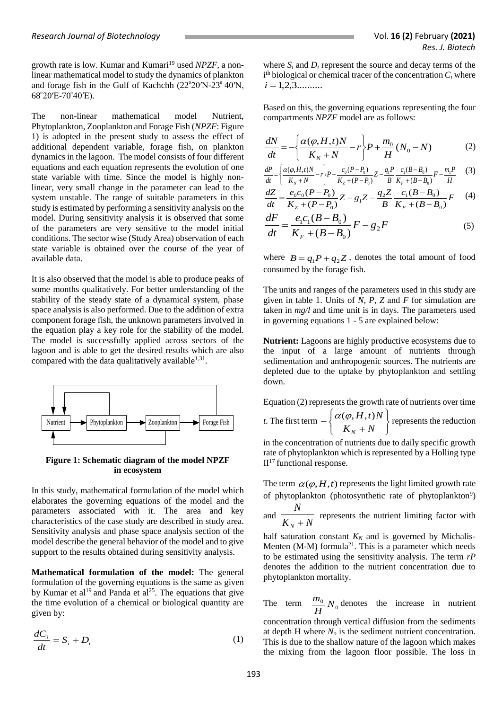growth rate is low. Kumar and Kumari<sup>19</sup> used *NPZF*, a nonlinear mathematical model to study the dynamics of plankton and forage fish in the Gulf of Kachchh  $(22^{\circ}20'N-23^{\circ}40'N,$  $68^{\circ}20'E$ -70 $^{\circ}40'E$ ).

The non-linear mathematical model Nutrient, Phytoplankton, Zooplankton and Forage Fish (*NPZF*: Figure 1) is adopted in the present study to assess the effect of additional dependent variable, forage fish, on plankton dynamics in the lagoon. The model consists of four different equations and each equation represents the evolution of one state variable with time. Since the model is highly nonlinear, very small change in the parameter can lead to the system unstable. The range of suitable parameters in this study is estimated by performing a sensitivity analysis on the model. During sensitivity analysis it is observed that some of the parameters are very sensitive to the model initial conditions. The sector wise (Study Area) observation of each state variable is obtained over the course of the year of available data.

It is also observed that the model is able to produce peaks of some months qualitatively. For better understanding of the stability of the steady state of a dynamical system, phase space analysis is also performed. Due to the addition of extra component forage fish, the unknown parameters involved in the equation play a key role for the stability of the model. The model is successfully applied across sectors of the lagoon and is able to get the desired results which are also compared with the data qualitatively available $1,31$ .



**Figure 1: Schematic diagram of the model NPZF in ecosystem**

In this study, mathematical formulation of the model which elaborates the governing equations of the model and the parameters associated with it. The area and key characteristics of the case study are described in study area. Sensitivity analysis and phase space analysis section of the model describe the general behavior of the model and to give support to the results obtained during sensitivity analysis.

**Mathematical formulation of the model:** The general formulation of the governing equations is the same as given by Kumar et al<sup>19</sup> and Panda et al<sup>25</sup>. The equations that give the time evolution of a chemical or biological quantity are given by:

$$
\frac{dC_i}{dt} = S_i + D_i \tag{1}
$$

where  $S_i$  and  $D_i$  represent the source and decay terms of the  $i<sup>th</sup>$  biological or chemical tracer of the concentration  $C<sub>i</sub>$  where  $i = 1, 2, 3, \dots$ 

Based on this, the governing equations representing the four compartments *NPZF* model are as follows:

$$
\frac{dN}{dt} = -\left\{\frac{\alpha(\varphi, H, t)N}{K_N + N} - r\right\} P + \frac{m_0}{H}(N_0 - N) \tag{2}
$$

$$
\frac{dP}{dt} = \left\{ \frac{\alpha(\varphi, H, t)N}{K_N + N} - r \right\} P - \frac{c_0 (P - P_0)}{K_Z + (P - P_0)} Z - \frac{q_1 P}{B} \frac{c_1 (B - B_0)}{K_F + (B - B_0)} F - \frac{m_1 P}{H} \tag{3}
$$

$$
\frac{dZ}{dt} = \frac{e_0 c_0 (P - P_0)}{K_Z + (P - P_0)} Z - g_1 Z - \frac{q_2 Z}{B} \frac{c_1 (B - B_0)}{K_F + (B - B_0)} F \tag{4}
$$

$$
\frac{dF}{dt} = \frac{e_1 c_1 (B - B_0)}{K_F + (B - B_0)} F - g_2 F
$$
\n(5)

where  $B = q_1 P + q_2 Z$ , denotes the total amount of food consumed by the forage fish.

The units and ranges of the parameters used in this study are given in table 1. Units of *N*, *P*, *Z* and *F* for simulation are taken in *mg/l* and time unit is in days. The parameters used in governing equations 1 - 5 are explained below:

**Nutrient:** Lagoons are highly productive ecosystems due to the input of a large amount of nutrients through sedimentation and anthropogenic sources. The nutrients are depleted due to the uptake by phytoplankton and settling down.

Equation (2) represents the growth rate of nutrients over time

*t*. The first term 
$$
-\left\{\frac{\alpha(\varphi, H, t)N}{K_N + N}\right\}
$$
 represents the reduction

in the concentration of nutrients due to daily specific growth rate of phytoplankton which is represented by a Holling type  $II<sup>17</sup>$  functional response.

The term  $\alpha(\varphi, H, t)$  represents the light limited growth rate of phytoplankton (photosynthetic rate of phytoplankton<sup>9</sup>)

and  $\frac{1}{K_N + N}$ *N* represents the nutrient limiting factor with  $\frac{N+N}{N}$ 

half saturation constant  $K_N$  and is governed by Michalis-Menten (M-M) formula<sup>21</sup>. This is a parameter which needs to be estimated using the sensitivity analysis. The term *rP* denotes the addition to the nutrient concentration due to phytoplankton mortality.

The term  $\frac{m_0}{H} N_0$ *H*  $\frac{m_0}{N_0}$  denotes the increase in nutrient

concentration through vertical diffusion from the sediments at depth H where *N<sup>o</sup>* is the sediment nutrient concentration. This is due to the shallow nature of the lagoon which makes the mixing from the lagoon floor possible. The loss in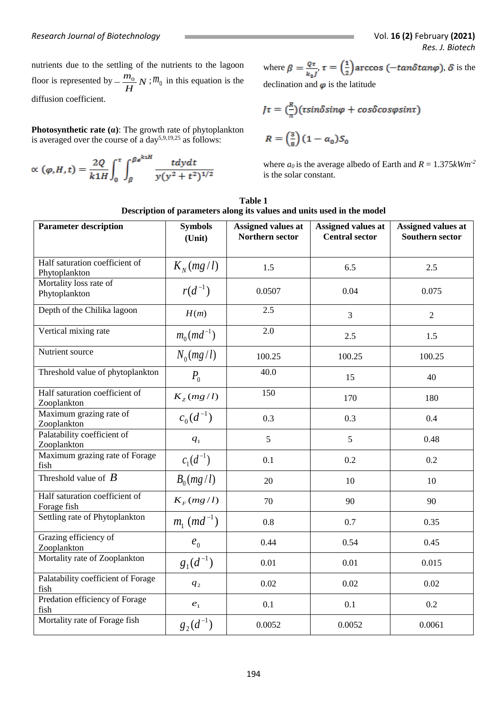nutrients due to the settling of the nutrients to the lagoon floor is represented by  $-\frac{m_0}{N}N$ *H*  $-\frac{m_0}{r}N$ ;  $m_0$  in this equation is the diffusion coefficient.

**Photosynthetic rate (α)**: The growth rate of phytoplankton is averaged over the course of a day<sup>5,9,19,25</sup> as follows:

$$
\propto (\varphi, H, t) = \frac{2Q}{k1H} \int_0^{\tau} \int_{\beta}^{\beta e^{k1H}} \frac{tdydt}{y(y^2 + t^2)^{1/2}}
$$

where  $\beta = \frac{Q\tau}{k_2 l}$ ,  $\tau = \left(\frac{1}{2}\right)$  arccos ( $-\tan \delta \tan \varphi$ ),  $\delta$  is the declination and  $\varphi$  is the latitude

$$
J\tau = \left(\frac{R}{\pi}\right) \left(\tau \sin \delta \sin \varphi + \cos \delta \cos \varphi \sin \tau\right)
$$

$$
R = \left(\frac{3}{8}\right) \left(1 - a_0\right) S_0
$$

where  $a_0$  is the average albedo of Earth and  $R = 1.375 \, \text{kWm}^2$ is the solar constant.

| Table 1                                                                |  |  |  |  |  |  |  |
|------------------------------------------------------------------------|--|--|--|--|--|--|--|
| Description of parameters along its values and units used in the model |  |  |  |  |  |  |  |

| <b>Parameter description</b>                    | <b>Symbols</b><br>(Unit)  | Assigned values at<br>Northern sector | Assigned values at<br><b>Central sector</b> | Assigned values at<br><b>Southern sector</b> |  |
|-------------------------------------------------|---------------------------|---------------------------------------|---------------------------------------------|----------------------------------------------|--|
| Half saturation coefficient of<br>Phytoplankton | $K_{N}(mg/l)$             | 1.5                                   | 6.5                                         | 2.5                                          |  |
| Mortality loss rate of<br>Phytoplankton         | $r(d^{-1})$               | 0.0507                                | 0.04                                        | 0.075                                        |  |
| Depth of the Chilika lagoon                     | H(m)                      | 2.5                                   | 3                                           | $\overline{2}$                               |  |
| Vertical mixing rate                            | $m_0 (md^{-1})$           | 2.0                                   | 2.5                                         | 1.5                                          |  |
| Nutrient source                                 | $N_0(mg/l)$               | 100.25                                | 100.25                                      | 100.25                                       |  |
| Threshold value of phytoplankton                | $P_0$                     | 40.0                                  | 15                                          | 40                                           |  |
| Half saturation coefficient of<br>Zooplankton   | $K_z(mg/l)$               | 150                                   | 170                                         | 180                                          |  |
| Maximum grazing rate of<br>Zooplankton          | $c_0(d^{-1})$             | 0.3                                   | 0.3                                         | 0.4                                          |  |
| Palatability coefficient of<br>Zooplankton      | $q_{1}$                   | 5                                     | 5                                           | 0.48                                         |  |
| Maximum grazing rate of Forage<br>fish          | $c_1(d^{-1})$             | 0.1                                   | 0.2                                         | 0.2                                          |  |
| Threshold value of $\bm{B}$                     | $B_0(mg/l)$               | 20                                    | 10                                          | 10                                           |  |
| Half saturation coefficient of<br>Forage fish   | $K_F(mg/l)$               | 70                                    | 90                                          | 90                                           |  |
| Settling rate of Phytoplankton                  | $m_1$ (md <sup>-1</sup> ) | 0.8                                   | 0.7                                         | 0.35                                         |  |
| Grazing efficiency of<br>Zooplankton            | $e_0$                     | 0.44                                  | 0.54                                        | 0.45                                         |  |
| Mortality rate of Zooplankton                   | $g_1(d^{-1})$             | 0.01                                  | 0.01                                        | 0.015                                        |  |
| Palatability coefficient of Forage<br>fish      | $q_{2}$                   | 0.02                                  | 0.02                                        | 0.02                                         |  |
| Predation efficiency of Forage<br>fish          | $\pmb{e}_1$               | 0.1                                   | 0.1                                         | 0.2                                          |  |
| Mortality rate of Forage fish                   | $g_2(d^{-1})$             | 0.0052                                | 0.0052                                      | 0.0061                                       |  |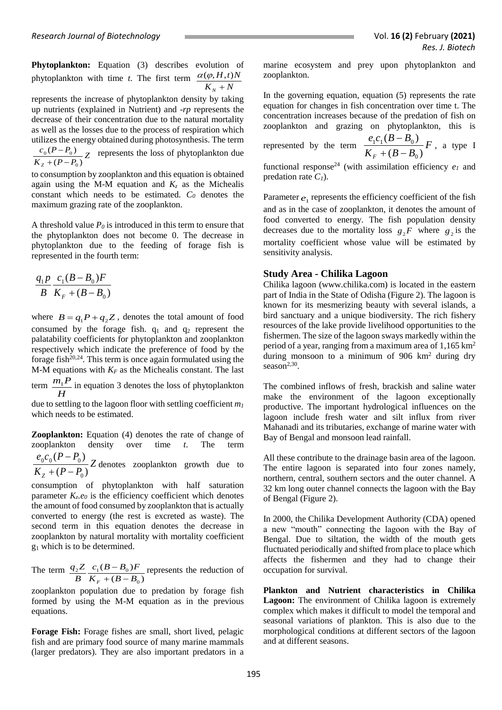**Phytoplankton:** Equation (3) describes evolution of phytoplankton with time *t*. The first term  $K_N + N$  $H, t$ <sup>*N*</sup>  $_N$  +  $\alpha(\varphi, H, t)$ 

represents the increase of phytoplankton density by taking up nutrients (explained in Nutrient) and -*rp* represents the decrease of their concentration due to the natural mortality as well as the losses due to the process of respiration which utilizes the energy obtained during photosynthesis. The term

 $\frac{C_0 (P - P_0)}{K_z + (P - P_0)} Z$  $c_0 (P - P_0)$  $Z + (P - P_0)$  $(P - P_0)$ 0  $0^{1 - 1}$  $+ (P \frac{-P_0}{Z}$  represents the loss of phytoplankton due

to consumption by zooplankton and this equation is obtained again using the M-M equation and  $K_z$  as the Michealis constant which needs to be estimated. *C<sup>0</sup>* denotes the maximum grazing rate of the zooplankton.

A threshold value  $P_0$  is introduced in this term to ensure that the phytoplankton does not become 0. The decrease in phytoplankton due to the feeding of forage fish is represented in the fourth term:

$$
\frac{q_1 p}{B} \frac{c_1 (B - B_0) F}{K_F + (B - B_0)}
$$

where  $B = q_1 P + q_2 Z$ , denotes the total amount of food consumed by the forage fish.  $q_1$  and  $q_2$  represent the palatability coefficients for phytoplankton and zooplankton respectively which indicate the preference of food by the forage fish $20,24$ . This term is once again formulated using the M-M equations with  $K_F$  as the Michealis constant. The last  $m_1P$  in equation 3 denotes the loss of phytoplankton

term  $\frac{m_1}{H}$ due to settling to the lagoon floor with settling coefficient *m<sup>1</sup>* which needs to be estimated.

**Zooplankton:** Equation (4) denotes the rate of change of zooplankton density over time *t*. The term

*Z*  $K_{z}$  +  $(P - P_{0}$  $e_0 c_0 (P - P_0)$  $Z + (P - P_0)$  $(P - P_0)$ 0  $0^{0}$  (1 1  $0$  $+ (P -$ − denotes zooplankton growth due to

consumption of phytoplankton with half saturation parameter  $K_z e_0$  is the efficiency coefficient which denotes the amount of food consumed by zooplankton that is actually converted to energy (the rest is excreted as waste). The second term in this equation denotes the decrease in zooplankton by natural mortality with mortality coefficient g<sup>1</sup> which is to be determined.

The term  $(B - B_0)$  $(B - B_0)$ 0  $\frac{2Z}{B} \frac{C_1 (B - B_0)R}{K_F + (B - B_0)}$  $c_1(B - B_0)F$ *B*  $q_2 Z$  $F + (B -\overline{B_0}F$  represents the reduction of

zooplankton population due to predation by forage fish formed by using the M-M equation as in the previous equations.

**Forage Fish:** Forage fishes are small, short lived, pelagic fish and are primary food source of many marine mammals (larger predators). They are also important predators in a marine ecosystem and prey upon phytoplankton and zooplankton.

In the governing equation, equation (5) represents the rate equation for changes in fish concentration over time t. The concentration increases because of the predation of fish on zooplankton and grazing on phytoplankton, this is

represented by the term 
$$
\frac{e_1c_1(B-B_0)}{K_F+(B-B_0)}F
$$
, a type I

functional response<sup>24</sup> (with assimilation efficiency  $e_I$  and predation rate  $C_1$ ).

Parameter  $e_1$  represents the efficiency coefficient of the fish and as in the case of zooplankton, it denotes the amount of food converted to energy. The fish population density decreases due to the mortality loss  $g_2F$  where  $g_2$  is the mortality coefficient whose value will be estimated by sensitivity analysis.

## **Study Area - Chilika Lagoon**

Chilika lagoon [\(www.chilika.com\)](http://www.chilika.com/) is located in the eastern part of India in the State of Odisha (Figure 2). The lagoon is known for its mesmerizing beauty with several islands, a bird sanctuary and a unique biodiversity. The rich fishery resources of the lake provide livelihood opportunities to the fishermen. The size of the lagoon sways markedly within the period of a year, ranging from a maximum area of 1,165 km<sup>2</sup> during monsoon to a minimum of 906 km<sup>2</sup> during dry season $2,30$ .

The combined inflows of fresh, brackish and saline water make the environment of the lagoon exceptionally productive. The important hydrological influences on the lagoon include fresh water and silt influx from river Mahanadi and its tributaries, exchange of marine water with Bay of Bengal and monsoon lead rainfall.

All these contribute to the drainage basin area of the lagoon. The entire lagoon is separated into four zones namely, northern, central, southern sectors and the outer channel. A 32 km long outer channel connects the lagoon with the Bay of Bengal (Figure 2).

In 2000, the Chilika Development Authority (CDA) opened a new "mouth" connecting the lagoon with the Bay of Bengal. Due to siltation, the width of the mouth gets fluctuated periodically and shifted from place to place which affects the fishermen and they had to change their occupation for survival.

**Plankton and Nutrient characteristics in Chilika**  Lagoon: The environment of Chilika lagoon is extremely complex which makes it difficult to model the temporal and seasonal variations of plankton. This is also due to the morphological conditions at different sectors of the lagoon and at different seasons.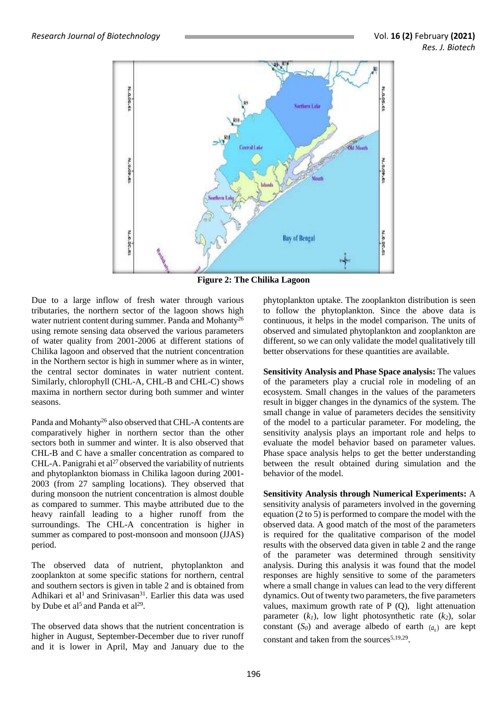

**Figure 2: The Chilika Lagoon**

Due to a large inflow of fresh water through various tributaries, the northern sector of the lagoon shows high water nutrient content during summer. Panda and Mohanty<sup>26</sup> using remote sensing data observed the various parameters of water quality from 2001-2006 at different stations of Chilika lagoon and observed that the nutrient concentration in the Northern sector is high in summer where as in winter, the central sector dominates in water nutrient content. Similarly, chlorophyll (CHL-A, CHL-B and CHL-C) shows maxima in northern sector during both summer and winter seasons.

Panda and Mohanty<sup>26</sup> also observed that CHL-A contents are comparatively higher in northern sector than the other sectors both in summer and winter. It is also observed that CHL-B and C have a smaller concentration as compared to CHL-A. Panigrahi et al<sup>27</sup> observed the variability of nutrients and phytoplankton biomass in Chilika lagoon during 2001- 2003 (from 27 sampling locations). They observed that during monsoon the nutrient concentration is almost double as compared to summer. This maybe attributed due to the heavy rainfall leading to a higher runoff from the surroundings. The CHL-A concentration is higher in summer as compared to post-monsoon and monsoon (JJAS) period.

The observed data of nutrient, phytoplankton and zooplankton at some specific stations for northern, central and southern sectors is given in table 2 and is obtained from Adhikari et al<sup>1</sup> and Srinivasan<sup>31</sup>. Earlier this data was used by Dube et al<sup>5</sup> and Panda et al<sup>29</sup>.

The observed data shows that the nutrient concentration is higher in August, September-December due to river runoff and it is lower in April, May and January due to the phytoplankton uptake. The zooplankton distribution is seen to follow the phytoplankton. Since the above data is continuous, it helps in the model comparison. The units of observed and simulated phytoplankton and zooplankton are different, so we can only validate the model qualitatively till better observations for these quantities are available.

**Sensitivity Analysis and Phase Space analysis:** The values of the parameters play a crucial role in modeling of an ecosystem. Small changes in the values of the parameters result in bigger changes in the dynamics of the system. The small change in value of parameters decides the sensitivity of the model to a particular parameter. For modeling, the sensitivity analysis plays an important role and helps to evaluate the model behavior based on parameter values. Phase space analysis helps to get the better understanding between the result obtained during simulation and the behavior of the model.

**Sensitivity Analysis through Numerical Experiments:** A sensitivity analysis of parameters involved in the governing equation (2 to 5) is performed to compare the model with the observed data. A good match of the most of the parameters is required for the qualitative comparison of the model results with the observed data given in table 2 and the range of the parameter was determined through sensitivity analysis. During this analysis it was found that the model responses are highly sensitive to some of the parameters where a small change in values can lead to the very different dynamics. Out of twenty two parameters, the five parameters values, maximum growth rate of P (Q), light attenuation parameter (*k1*), low light photosynthetic rate (*k2*), solar constant  $(S_0)$  and average albedo of earth  $(a_0)$  are kept constant and taken from the sources<sup>5,19,29</sup>.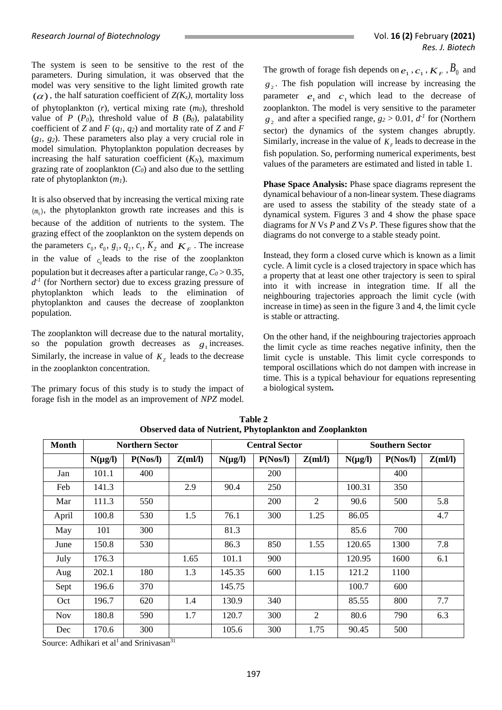The system is seen to be sensitive to the rest of the parameters. During simulation, it was observed that the model was very sensitive to the light limited growth rate  $(\alpha)$ , the half saturation coefficient of  $Z(K_z)$ , mortality loss of phytoplankton (*r*), vertical mixing rate (*m0*), threshold value of *P* ( $P_0$ ), threshold value of *B* ( $B_0$ ), palatability coefficient of *Z* and *F* (*q1, q2*) and mortality rate of *Z* and *F* (*g1, g2*). These parameters also play a very crucial role in model simulation. Phytoplankton population decreases by increasing the half saturation coefficient  $(K_N)$ , maximum grazing rate of zooplankton (*C0*) and also due to the settling rate of phytoplankton (*m1*).

It is also observed that by increasing the vertical mixing rate  $(m_0)$ , the phytoplankton growth rate increases and this is because of the addition of nutrients to the system. The grazing effect of the zooplankton on the system depends on the parameters  $c_0$ ,  $e_0$ ,  $g_1$ ,  $q_2$ ,  $c_1$ ,  $K_z$  and  $K_F$ . The increase in the value of  $c_0$  leads to the rise of the zooplankton population but it decreases after a particular range,  $C_0 > 0.35$ ,  $d<sup>1</sup>$  (for Northern sector) due to excess grazing pressure of phytoplankton which leads to the elimination of phytoplankton and causes the decrease of zooplankton population.

The zooplankton will decrease due to the natural mortality, so the population growth decreases as  $g_1$  increases. Similarly, the increase in value of  $K<sub>z</sub>$  leads to the decrease in the zooplankton concentration.

The primary focus of this study is to study the impact of forage fish in the model as an improvement of *NPZ* model.

The growth of forage fish depends on  $e_1$ ,  $c_1$ ,  $K_F$ ,  $B_0$  and  $g_2$ . The fish population will increase by increasing the parameter  $e_1$  and  $c_1$  which lead to the decrease of zooplankton. The model is very sensitive to the parameter  $g_2$  and after a specified range,  $g_2 > 0.01$ ,  $d<sup>2</sup>$  for (Northern sector) the dynamics of the system changes abruptly. Similarly, increase in the value of  $K_F$  leads to decrease in the fish population. So, performing numerical experiments, best values of the parameters are estimated and listed in table 1.

**Phase Space Analysis:** Phase space diagrams represent the dynamical behaviour of a non-linear system. These diagrams are used to assess the stability of the steady state of a dynamical system. Figures 3 and 4 show the phase space diagrams for *N* Vs *P* and *Z* Vs *P*. These figures show that the diagrams do not converge to a stable steady point.

Instead, they form a closed curve which is known as a limit cycle. A limit cycle is a closed trajectory in space which has a property that at least one other trajectory is seen to spiral into it with increase in integration time. If all the neighbouring trajectories approach the limit cycle (with increase in time) as seen in the figure 3 and 4, the limit cycle is stable or attracting.

On the other hand, if the neighbouring trajectories approach the limit cycle as time reaches negative infinity, then the limit cycle is unstable. This limit cycle corresponds to temporal oscillations which do not dampen with increase in time. This is a typical behaviour for equations representing a biological system**.**

| Month      | <b>Northern Sector</b> |          |         | <b>Central Sector</b> |            |         | <b>Southern Sector</b> |          |         |
|------------|------------------------|----------|---------|-----------------------|------------|---------|------------------------|----------|---------|
|            | $N(\mu g/l)$           | P(Nos/l) | Z(ml/l) | $N(\mu g/l)$          | P(Nos/l)   | Z(ml/l) | $N(\mu g/l)$           | P(Nos/l) | Z(ml/l) |
| Jan        | 101.1                  | 400      |         |                       | <b>200</b> |         |                        | 400      |         |
| Feb        | 141.3                  |          | 2.9     | 90.4                  | 250        |         | 100.31                 | 350      |         |
| Mar        | 111.3                  | 550      |         |                       | 200        | 2       | 90.6                   | 500      | 5.8     |
| April      | 100.8                  | 530      | 1.5     | 76.1                  | 300        | 1.25    | 86.05                  |          | 4.7     |
| May        | 101                    | 300      |         | 81.3                  |            |         | 85.6                   | 700      |         |
| June       | 150.8                  | 530      |         | 86.3                  | 850        | 1.55    | 120.65                 | 1300     | 7.8     |
| July       | 176.3                  |          | 1.65    | 101.1                 | 900        |         | 120.95                 | 1600     | 6.1     |
| Aug        | 202.1                  | 180      | 1.3     | 145.35                | 600        | 1.15    | 121.2                  | 1100     |         |
| Sept       | 196.6                  | 370      |         | 145.75                |            |         | 100.7                  | 600      |         |
| Oct        | 196.7                  | 620      | 1.4     | 130.9                 | 340        |         | 85.55                  | 800      | 7.7     |
| <b>Nov</b> | 180.8                  | 590      | 1.7     | 120.7                 | 300        | 2       | 80.6                   | 790      | 6.3     |
| Dec        | 170.6                  | 300      |         | 105.6                 | 300        | 1.75    | 90.45                  | 500      |         |

**Table 2 Observed data of Nutrient, Phytoplankton and Zooplankton**

Source: Adhikari et al<sup>1</sup> and Srinivasan<sup>31</sup>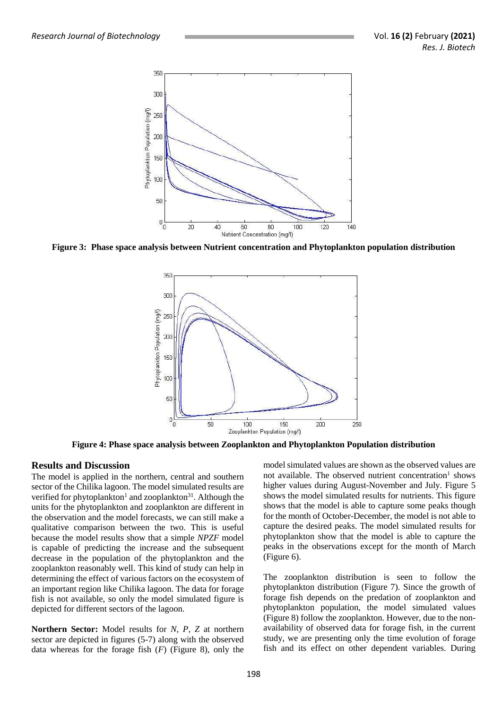

**Figure 3: Phase space analysis between Nutrient concentration and Phytoplankton population distribution**



**Figure 4: Phase space analysis between Zooplankton and Phytoplankton Population distribution**

### **Results and Discussion**

The model is applied in the northern, central and southern sector of the Chilika lagoon. The model simulated results are verified for phytoplankton<sup>1</sup> and zooplankton<sup>31</sup>. Although the units for the phytoplankton and zooplankton are different in the observation and the model forecasts, we can still make a qualitative comparison between the two. This is useful because the model results show that a simple *NPZF* model is capable of predicting the increase and the subsequent decrease in the population of the phytoplankton and the zooplankton reasonably well. This kind of study can help in determining the effect of various factors on the ecosystem of an important region like Chilika lagoon. The data for forage fish is not available, so only the model simulated figure is depicted for different sectors of the lagoon.

**Northern Sector:** Model results for *N*, *P*, *Z* at northern sector are depicted in figures (5-7) along with the observed data whereas for the forage fish (*F*) (Figure 8), only the

model simulated values are shown as the observed values are not available. The observed nutrient concentration<sup>1</sup> shows higher values during August-November and July. Figure 5 shows the model simulated results for nutrients. This figure shows that the model is able to capture some peaks though for the month of October-December, the model is not able to capture the desired peaks. The model simulated results for phytoplankton show that the model is able to capture the peaks in the observations except for the month of March (Figure 6).

The zooplankton distribution is seen to follow the phytoplankton distribution (Figure 7). Since the growth of forage fish depends on the predation of zooplankton and phytoplankton population, the model simulated values (Figure 8) follow the zooplankton. However, due to the nonavailability of observed data for forage fish, in the current study, we are presenting only the time evolution of forage fish and its effect on other dependent variables. During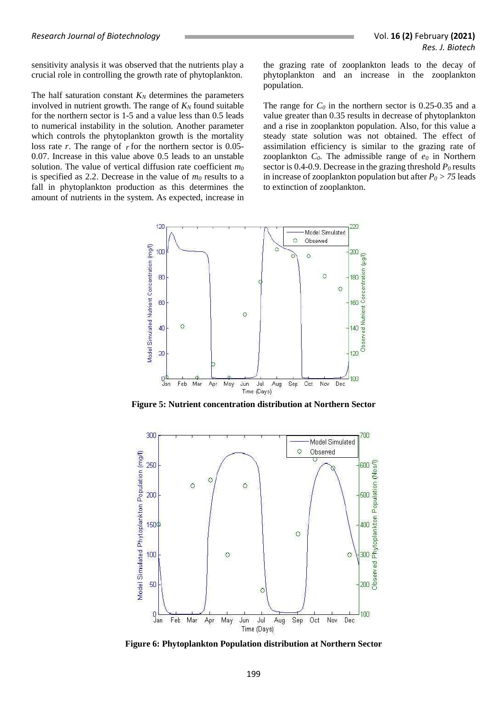sensitivity analysis it was observed that the nutrients play a crucial role in controlling the growth rate of phytoplankton.

The half saturation constant  $K_N$  determines the parameters involved in nutrient growth. The range of  $K_N$  found suitable for the northern sector is 1-5 and a value less than 0.5 leads to numerical instability in the solution. Another parameter which controls the phytoplankton growth is the mortality loss rate  $r$ . The range of  $r$  for the northern sector is 0.05-0.07. Increase in this value above 0.5 leads to an unstable solution. The value of vertical diffusion rate coefficient *m<sup>0</sup>* is specified as 2.2. Decrease in the value of *m<sup>0</sup>* results to a fall in phytoplankton production as this determines the amount of nutrients in the system. As expected, increase in

the grazing rate of zooplankton leads to the decay of phytoplankton and an increase in the zooplankton population.

The range for  $C_0$  in the northern sector is 0.25-0.35 and a value greater than 0.35 results in decrease of phytoplankton and a rise in zooplankton population. Also, for this value a steady state solution was not obtained. The effect of assimilation efficiency is similar to the grazing rate of zooplankton  $C_0$ . The admissible range of  $e_0$  in Northern sector is 0.4-0.9. Decrease in the grazing threshold *P<sup>0</sup>* results in increase of zooplankton population but after  $P_0 > 75$  leads to extinction of zooplankton.



**Figure 5: Nutrient concentration distribution at Northern Sector**



**Figure 6: Phytoplankton Population distribution at Northern Sector**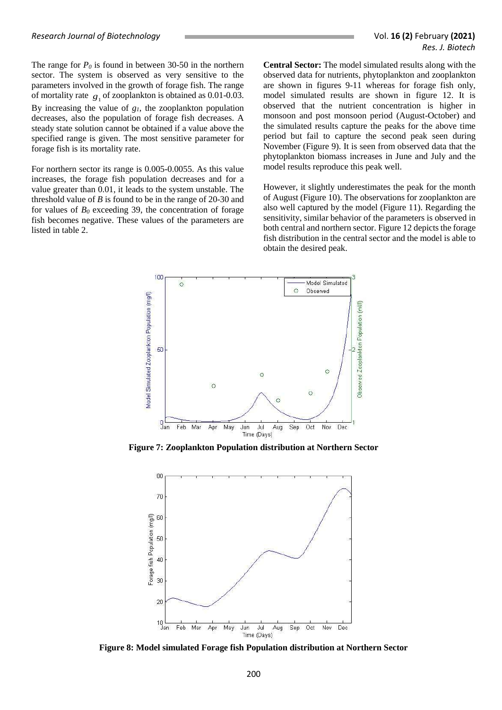The range for  $P_0$  is found in between 30-50 in the northern sector. The system is observed as very sensitive to the parameters involved in the growth of forage fish. The range of mortality rate  $g_1$  of zooplankton is obtained as 0.01-0.03. By increasing the value of *g1*, the zooplankton population decreases, also the population of forage fish decreases. A steady state solution cannot be obtained if a value above the specified range is given. The most sensitive parameter for forage fish is its mortality rate.

For northern sector its range is 0.005-0.0055. As this value increases, the forage fish population decreases and for a value greater than 0.01, it leads to the system unstable. The threshold value of *B* is found to be in the range of 20-30 and for values of  $B_0$  exceeding 39, the concentration of forage fish becomes negative. These values of the parameters are listed in table 2.

**Central Sector:** The model simulated results along with the observed data for nutrients, phytoplankton and zooplankton are shown in figures 9-11 whereas for forage fish only, model simulated results are shown in figure 12. It is observed that the nutrient concentration is higher in monsoon and post monsoon period (August-October) and the simulated results capture the peaks for the above time period but fail to capture the second peak seen during November (Figure 9). It is seen from observed data that the phytoplankton biomass increases in June and July and the model results reproduce this peak well.

However, it slightly underestimates the peak for the month of August (Figure 10). The observations for zooplankton are also well captured by the model (Figure 11). Regarding the sensitivity, similar behavior of the parameters is observed in both central and northern sector. Figure 12 depicts the forage fish distribution in the central sector and the model is able to obtain the desired peak.



**Figure 7: Zooplankton Population distribution at Northern Sector**



**Figure 8: Model simulated Forage fish Population distribution at Northern Sector**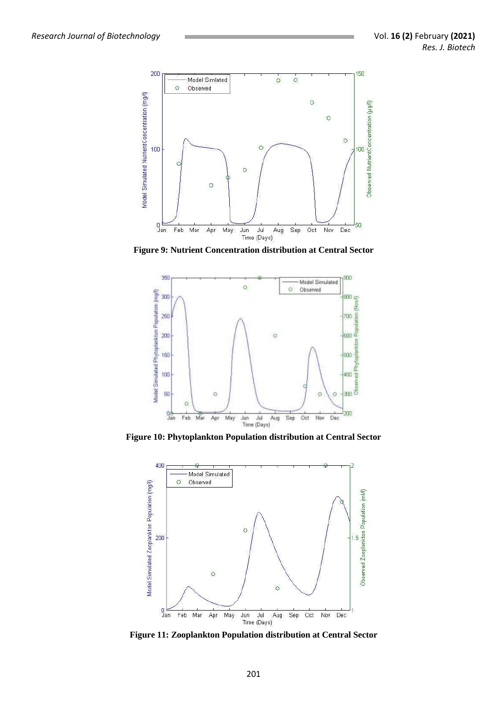

**Figure 9: Nutrient Concentration distribution at Central Sector**



**Figure 10: Phytoplankton Population distribution at Central Sector**



**Figure 11: Zooplankton Population distribution at Central Sector**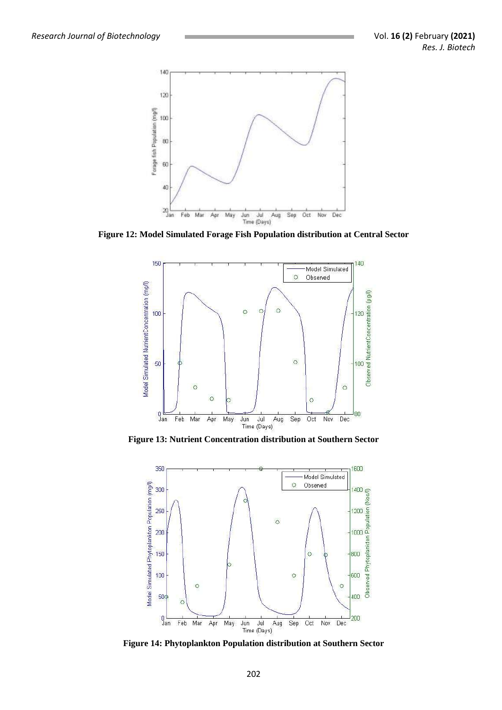

**Figure 12: Model Simulated Forage Fish Population distribution at Central Sector**



**Figure 13: Nutrient Concentration distribution at Southern Sector**



**Figure 14: Phytoplankton Population distribution at Southern Sector**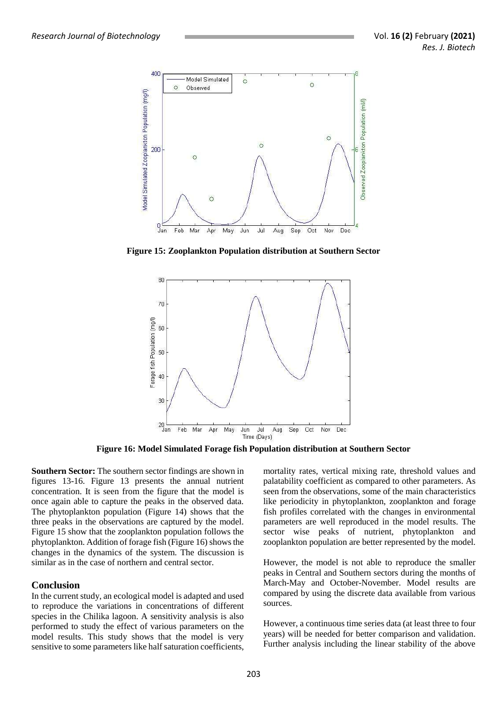

**Figure 15: Zooplankton Population distribution at Southern Sector**



**Figure 16: Model Simulated Forage fish Population distribution at Southern Sector**

**Southern Sector:** The southern sector findings are shown in figures 13-16. Figure 13 presents the annual nutrient concentration. It is seen from the figure that the model is once again able to capture the peaks in the observed data. The phytoplankton population (Figure 14) shows that the three peaks in the observations are captured by the model. Figure 15 show that the zooplankton population follows the phytoplankton. Addition of forage fish (Figure 16) shows the changes in the dynamics of the system. The discussion is similar as in the case of northern and central sector.

# **Conclusion**

In the current study, an ecological model is adapted and used to reproduce the variations in concentrations of different species in the Chilika lagoon. A sensitivity analysis is also performed to study the effect of various parameters on the model results. This study shows that the model is very sensitive to some parameters like half saturation coefficients,

mortality rates, vertical mixing rate, threshold values and palatability coefficient as compared to other parameters. As seen from the observations, some of the main characteristics like periodicity in phytoplankton, zooplankton and forage fish profiles correlated with the changes in environmental parameters are well reproduced in the model results. The sector wise peaks of nutrient, phytoplankton and zooplankton population are better represented by the model.

However, the model is not able to reproduce the smaller peaks in Central and Southern sectors during the months of March-May and October-November. Model results are compared by using the discrete data available from various sources.

However, a continuous time series data (at least three to four years) will be needed for better comparison and validation. Further analysis including the linear stability of the above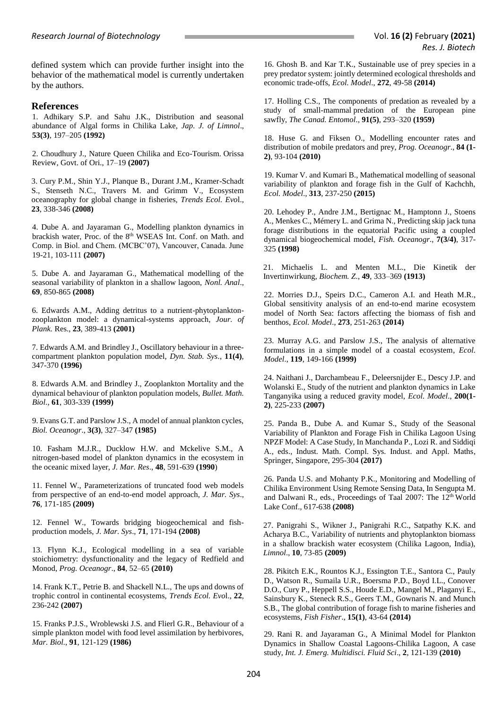defined system which can provide further insight into the behavior of the mathematical model is currently undertaken by the authors.

#### **References**

1. Adhikary S.P. and Sahu J.K., Distribution and seasonal abundance of Algal forms in Chilika Lake, *Jap. J. of Limnol*., **53(3)**, 197–205 **(1992)**

2. Choudhury J., [Nature Queen Chilika and Eco-Tourism.](http://orissagov.nic.in/e-magazine/Orissareview/nov-2007/engpdf/Pages17-19.pdf) Orissa Review, Govt. of Ori., 17–19 **(2007)**

3. Cury P.M., Shin Y.J., Planque B., Durant J.M., Kramer-Schadt S., Stenseth N.C., Travers M. and Grimm V., Ecosystem oceanography for global change in fisheries, *Trends Ecol. Evo*l., **23**, 338-346 **(2008)**

4. Dube A. and Jayaraman G., Modelling plankton dynamics in brackish water, Proc. of the 8<sup>th</sup> WSEAS Int. Conf. on Math. and Comp. in Biol. and Chem. (MCBC'07), Vancouver, Canada. June 19-21, 103-111 **(2007)**

5. Dube A. and Jayaraman G., Mathematical modelling of the seasonal variability of plankton in a shallow lagoon, *Nonl. Anal*., **69**, 850-865 **(2008)**

6. Edwards A.M., Adding detritus to a nutrient-phytoplanktonzooplankton model: a dynamical-systems approach, *Jour. of Plank.* Res., **23**, 389-413 **(2001)**

7. Edwards A.M. and Brindley J., Oscillatory behaviour in a threecompartment plankton population model, *Dyn. Stab. Sys*., **11(4)**, 347-370 **(1996)**

8. Edwards A.M. and Brindley J., Zooplankton Mortality and the dynamical behaviour of plankton population models, *Bullet. Math. Biol*., **61**, 303-339 **(1999)**

9. Evans G.T. and Parslow J.S., A model of annual plankton cycles, *Biol. Oceanogr*., **3(3)**, 327–347 **(1985)**

10. Fasham M.J.R., Ducklow H.W. and Mckelive S.M., A nitrogen-based model of plankton dynamics in the ecosystem in the oceanic mixed layer, *J. Mar. Res*., **48**, 591-639 **(1990**)

11. Fennel W., Parameterizations of truncated food web models from perspective of an end-to-end model approach, *J. Mar. Sys*., **76**, 171-185 **(2009)**

12. Fennel W., Towards bridging biogeochemical and fishproduction models, *J. Mar. Sys*., **71**, 171-194 **(2008)**

13. Flynn K.J., Ecological modelling in a sea of variable stoichiometry: dysfunctionality and the legacy of Redfield and Monod, *Prog. Oceanogr*., **84**, 52–65 **(2010)**

14. Frank K.T., Petrie B. and Shackell N.L., The ups and downs of trophic control in continental ecosystems, *Trends Ecol. Evo*l., **22**, 236-242 **(2007)**

15. Franks P.J.S., Wroblewski J.S. and Flierl G.R., Behaviour of a simple plankton model with food level assimilation by herbivores, *Mar. Biol.*, **91**, 121-129 **(1986)**

16. Ghosh B. and Kar T.K., Sustainable use of prey species in a prey predator system: jointly determined ecological thresholds and economic trade-offs, *Ecol. Model*., **272**, 49-58 **(2014)**

17. Holling C.S., The components of [predation](https://en.wikipedia.org/wiki/Predation) as revealed by a study of small[-mammal](https://en.wikipedia.org/wiki/Mammal) predation of the European pine sawfly, *The Canad. Entomol*., **91(5)**, 293–320 **(1959)**

18. Huse G. and Fiksen O., Modelling encounter rates and distribution of mobile predators and prey, *Prog. Oceanogr*., **84 (1- 2)**, 93-104 **(2010)**

19. Kumar V. and Kumari B., Mathematical modelling of seasonal variability of plankton and forage fish in the Gulf of Kachchh, *Ecol. Model*., **313**, 237-250 **(2015)**

20. Lehodey P., Andre J.M., Bertignac M., Hamptonn J., Stoens A., Menkes C., Mémery L. and Grima N., Predicting skip jack tuna forage distributions in the equatorial Pacific using a coupled dynamical biogeochemical model, *Fish. Oceanogr*., **7(3/4)**, 317- 325 **(1998)**

21. Michaelis L. and Menten M.L., Die Kinetik der Invertinwirkung, *Biochem. Z*., **49**, 333–369 **(1913)**

22. Morries D.J., Speirs D.C., Cameron A.I. and Heath M.R., Global sensitivity analysis of an end-to-end marine ecosystem model of North Sea: factors affecting the biomass of fish and benthos, *Ecol. Model*., **273**, 251-263 **(2014)**

23. Murray A.G. and Parslow J.S., The analysis of alternative formulations in a simple model of a coastal ecosystem, *Ecol. Model*., **119**, 149-166 **(1999)**

24. Naithani J., Darchambeau F., Deleersnijder E., Descy J.P. and Wolanski E., Study of the nutrient and plankton dynamics in Lake Tanganyika using a reduced gravity model, *Ecol. Model*., **200(1- 2)**, 225-233 **(2007)**

25. Panda B., Dube A. and Kumar S., Study of the Seasonal Variability of Plankton and Forage Fish in Chilika Lagoon Using NPZF Model: A Case Study, In Manchanda P., Lozi R. and Siddiqi A., eds., Indust. Math. Compl. Sys. Indust. and Appl. Maths, Springer, Singapore, 295-304 **(2017)**

26. Panda U.S. and Mohanty P.K., Monitoring and Modelling of Chilika Environment Using Remote Sensing Data, In Sengupta M. and Dalwani R., eds., Proceedings of Taal 2007: The 12<sup>th</sup> World Lake Conf., 617-638 **(2008)**

27. Panigrahi S., Wikner J., Panigrahi R.C., Satpathy K.K. and Acharya B.C., Variability of nutrients and phytoplankton biomass in a shallow brackish water ecosystem (Chilika Lagoon, India), *Limnol*., **10**, 73-85 **(2009)**

28. Pikitch E.K., Rountos K.J., Essington T.E., Santora C., Pauly D., Watson R., Sumaila U.R., Boersma P.D., Boyd I.L., Conover D.O., Cury P., Heppell S.S., Houde E.D., Mangel M., Plaganyi E., Sainsbury K., Steneck R.S., Geers T.M., Gownaris N. and Munch S.B., The global contribution of forage fish to marine fisheries and ecosystems, *Fish Fisher*., **15(1)**, 43-64 **(2014)**

29. Rani R. and Jayaraman G., A Minimal Model for Plankton Dynamics in Shallow Coastal Lagoons-Chilika Lagoon, A case study, *Int. J. Emerg. Multidisci. Fluid Sci*., **2**, 121-139 **(2010)**